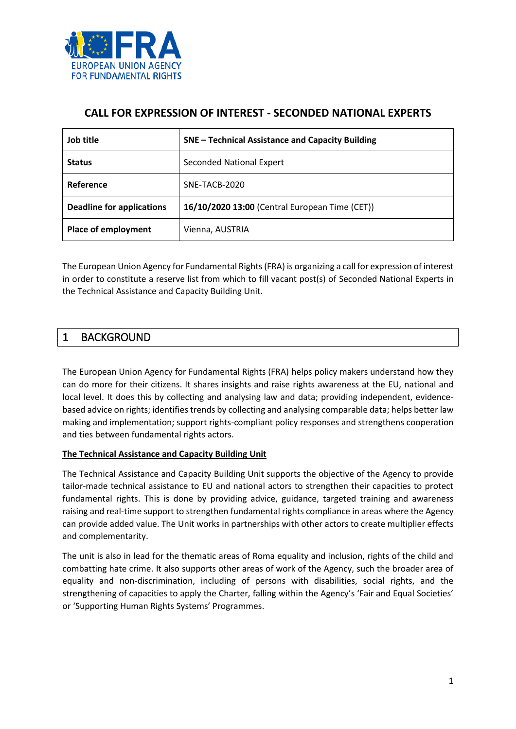

### **CALL FOR EXPRESSION OF INTEREST - SECONDED NATIONAL EXPERTS**

| Job title                        | SNE - Technical Assistance and Capacity Building |
|----------------------------------|--------------------------------------------------|
| <b>Status</b>                    | <b>Seconded National Expert</b>                  |
| Reference                        | SNE-TACB-2020                                    |
| <b>Deadline for applications</b> | 16/10/2020 13:00 (Central European Time (CET))   |
| <b>Place of employment</b>       | Vienna, AUSTRIA                                  |

The European Union Agency for Fundamental Rights (FRA) is organizing a call for expression of interest in order to constitute a reserve list from which to fill vacant post(s) of Seconded National Experts in the Technical Assistance and Capacity Building Unit.

## 1 BACKGROUND

The European Union Agency for Fundamental Rights (FRA) helps policy makers understand how they can do more for their citizens. It shares insights and raise rights awareness at the EU, national and local level. It does this by collecting and analysing law and data; providing independent, evidencebased advice on rights; identifies trends by collecting and analysing comparable data; helps better law making and implementation; support rights-compliant policy responses and strengthens cooperation and ties between fundamental rights actors.

#### **The Technical Assistance and Capacity Building Unit**

The Technical Assistance and Capacity Building Unit supports the objective of the Agency to provide tailor-made technical assistance to EU and national actors to strengthen their capacities to protect fundamental rights. This is done by providing advice, guidance, targeted training and awareness raising and real-time support to strengthen fundamental rights compliance in areas where the Agency can provide added value. The Unit works in partnerships with other actors to create multiplier effects and complementarity.

The unit is also in lead for the thematic areas of Roma equality and inclusion, rights of the child and combatting hate crime. It also supports other areas of work of the Agency, such the broader area of equality and non-discrimination, including of persons with disabilities, social rights, and the strengthening of capacities to apply the Charter, falling within the Agency's 'Fair and Equal Societies' or 'Supporting Human Rights Systems' Programmes.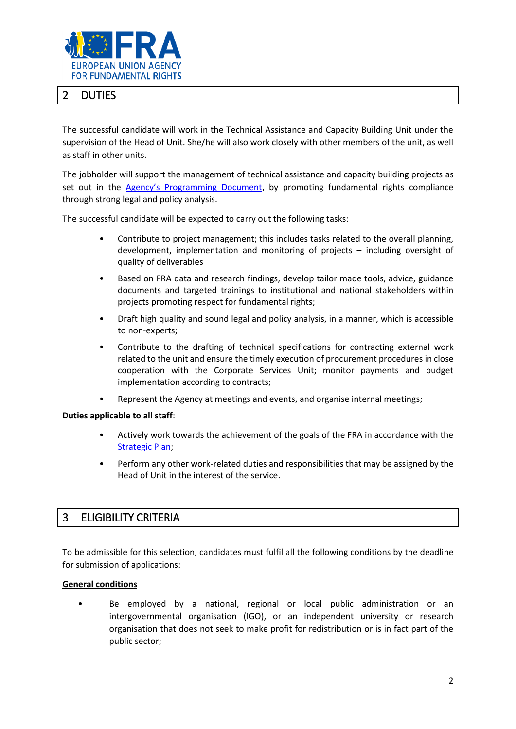

# 2 DUTIES

The successful candidate will work in the Technical Assistance and Capacity Building Unit under the supervision of the Head of Unit. She/he will also work closely with other members of the unit, as well as staff in other units.

The jobholder will support the management of technical assistance and capacity building projects as set out in the [Agency's Programming Document](https://fra.europa.eu/en/about-fra/what-we-do/annual-work-programme), by promoting fundamental rights compliance through strong legal and policy analysis.

The successful candidate will be expected to carry out the following tasks:

- Contribute to project management; this includes tasks related to the overall planning, development, implementation and monitoring of projects – including oversight of quality of deliverables
- Based on FRA data and research findings, develop tailor made tools, advice, guidance documents and targeted trainings to institutional and national stakeholders within projects promoting respect for fundamental rights;
- Draft high quality and sound legal and policy analysis, in a manner, which is accessible to non-experts;
- Contribute to the drafting of technical specifications for contracting external work related to the unit and ensure the timely execution of procurement procedures in close cooperation with the Corporate Services Unit; monitor payments and budget implementation according to contracts;
- Represent the Agency at meetings and events, and organise internal meetings;

#### **Duties applicable to all staff**:

- Actively work towards the achievement of the goals of the FRA in accordance with the [Strategic Plan;](https://fra.europa.eu/en/about-fra/what-we-do)
- Perform any other work-related duties and responsibilities that may be assigned by the Head of Unit in the interest of the service.

### 3 ELIGIBILITY CRITERIA

To be admissible for this selection, candidates must fulfil all the following conditions by the deadline for submission of applications:

#### **General conditions**

• Be employed by a national, regional or local public administration or an intergovernmental organisation (IGO), or an independent university or research organisation that does not seek to make profit for redistribution or is in fact part of the public sector;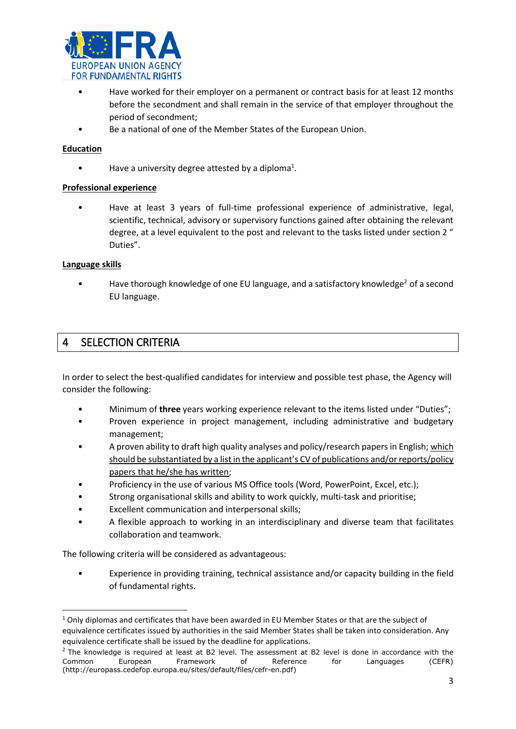

- Have worked for their employer on a permanent or contract basis for at least 12 months before the secondment and shall remain in the service of that employer throughout the period of secondment;
- Be a national of one of the Member States of the European Union.

#### **Education**

 $\bullet$  Have a university degree attested by a diploma<sup>1</sup>.

#### **Professional experience**

• Have at least 3 years of full-time professional experience of administrative, legal, scientific, technical, advisory or supervisory functions gained after obtaining the relevant degree, at a level equivalent to the post and relevant to the tasks listed under section 2 " Duties".

#### **Language skills**

1

• Have thorough knowledge of one EU language, and a satisfactory knowledge<sup>2</sup> of a second EU language.

## 4 SELECTION CRITERIA

In order to select the best-qualified candidates for interview and possible test phase, the Agency will consider the following:

- Minimum of **three** years working experience relevant to the items listed under "Duties";
- Proven experience in project management, including administrative and budgetary management;
- A proven ability to draft high quality analyses and policy/research papers in English; which should be substantiated by a list in the applicant's CV of publications and/or reports/policy papers that he/she has written;
- Proficiency in the use of various MS Office tools (Word, PowerPoint, Excel, etc.);
- Strong organisational skills and ability to work quickly, multi-task and prioritise;
- Excellent communication and interpersonal skills;
- A flexible approach to working in an interdisciplinary and diverse team that facilitates collaboration and teamwork.

The following criteria will be considered as advantageous:

• Experience in providing training, technical assistance and/or capacity building in the field of fundamental rights.

 $1$  Only diplomas and certificates that have been awarded in EU Member States or that are the subject of equivalence certificates issued by authorities in the said Member States shall be taken into consideration. Any equivalence certificate shall be issued by the deadline for applications.

 $<sup>2</sup>$  The knowledge is required at least at B2 level. The assessment at B2 level is done in accordance with the</sup> Common European Framework of Reference for Languages (CEFR) (http://europass.cedefop.europa.eu/sites/default/files/cefr-en.pdf)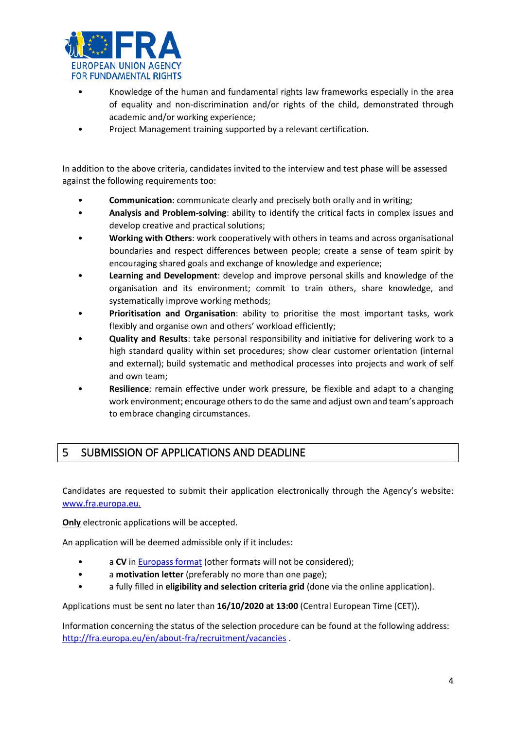

- Knowledge of the human and fundamental rights law frameworks especially in the area of equality and non-discrimination and/or rights of the child, demonstrated through academic and/or working experience;
- Project Management training supported by a relevant certification.

In addition to the above criteria, candidates invited to the interview and test phase will be assessed against the following requirements too:

- **Communication**: communicate clearly and precisely both orally and in writing;
- **Analysis and Problem-solving**: ability to identify the critical facts in complex issues and develop creative and practical solutions;
- **Working with Others**: work cooperatively with others in teams and across organisational boundaries and respect differences between people; create a sense of team spirit by encouraging shared goals and exchange of knowledge and experience;
- **Learning and Development**: develop and improve personal skills and knowledge of the organisation and its environment; commit to train others, share knowledge, and systematically improve working methods;
- **Prioritisation and Organisation**: ability to prioritise the most important tasks, work flexibly and organise own and others' workload efficiently;
- **Quality and Results**: take personal responsibility and initiative for delivering work to a high standard quality within set procedures; show clear customer orientation (internal and external); build systematic and methodical processes into projects and work of self and own team;
- **Resilience**: remain effective under work pressure, be flexible and adapt to a changing work environment; encourage others to do the same and adjust own and team's approach to embrace changing circumstances.

# 5 SUBMISSION OF APPLICATIONS AND DEADLINE

Candidates are requested to submit their application electronically through the Agency's website: [www.fra.europa.eu.](http://www.fra.europa.eu/)

**Only** electronic applications will be accepted.

An application will be deemed admissible only if it includes:

- a CV in **Europass format** (other formats will not be considered);
- a **motivation letter** (preferably no more than one page);
- a fully filled in **eligibility and selection criteria grid** (done via the online application).

Applications must be sent no later than **16/10/2020 at 13:00** (Central European Time (CET)).

Information concerning the status of the selection procedure can be found at the following address: <http://fra.europa.eu/en/about-fra/recruitment/vacancies> .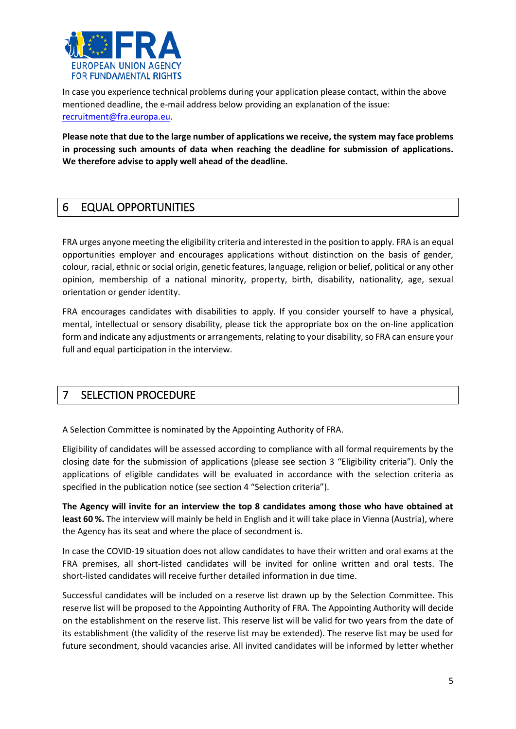

In case you experience technical problems during your application please contact, within the above mentioned deadline, the e-mail address below providing an explanation of the issue: [recruitment@fra.europa.eu.](mailto:recruitment@fra.europa.eu)

**Please note that due to the large number of applications we receive, the system may face problems in processing such amounts of data when reaching the deadline for submission of applications. We therefore advise to apply well ahead of the deadline.**

# 6 EQUAL OPPORTUNITIES

FRA urges anyone meeting the eligibility criteria and interested in the position to apply. FRA is an equal opportunities employer and encourages applications without distinction on the basis of gender, colour, racial, ethnic or social origin, genetic features, language, religion or belief, political or any other opinion, membership of a national minority, property, birth, disability, nationality, age, sexual orientation or gender identity.

FRA encourages candidates with disabilities to apply. If you consider yourself to have a physical, mental, intellectual or sensory disability, please tick the appropriate box on the on-line application form and indicate any adjustments or arrangements, relating to your disability, so FRA can ensure your full and equal participation in the interview.

# 7 SELECTION PROCEDURE

A Selection Committee is nominated by the Appointing Authority of FRA.

Eligibility of candidates will be assessed according to compliance with all formal requirements by the closing date for the submission of applications (please see section 3 "Eligibility criteria"). Only the applications of eligible candidates will be evaluated in accordance with the selection criteria as specified in the publication notice (see section 4 "Selection criteria").

**The Agency will invite for an interview the top 8 candidates among those who have obtained at least 60 %.** The interview will mainly be held in English and it will take place in Vienna (Austria), where the Agency has its seat and where the place of secondment is.

In case the COVID-19 situation does not allow candidates to have their written and oral exams at the FRA premises, all short-listed candidates will be invited for online written and oral tests. The short-listed candidates will receive further detailed information in due time.

Successful candidates will be included on a reserve list drawn up by the Selection Committee. This reserve list will be proposed to the Appointing Authority of FRA. The Appointing Authority will decide on the establishment on the reserve list. This reserve list will be valid for two years from the date of its establishment (the validity of the reserve list may be extended). The reserve list may be used for future secondment, should vacancies arise. All invited candidates will be informed by letter whether